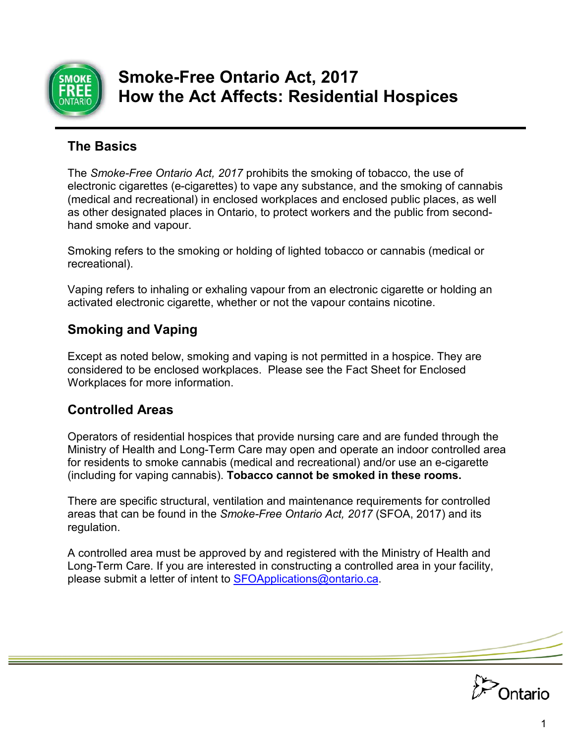

# **Smoke-Free Ontario Act, 2017 How the Act Affects: Residential Hospices**

# **The Basics**

The *Smoke-Free Ontario Act, 2017* prohibits the smoking of tobacco, the use of electronic cigarettes (e-cigarettes) to vape any substance, and the smoking of cannabis (medical and recreational) in enclosed workplaces and enclosed public places, as well as other designated places in Ontario, to protect workers and the public from secondhand smoke and vapour.

Smoking refers to the smoking or holding of lighted tobacco or cannabis (medical or recreational).

Vaping refers to inhaling or exhaling vapour from an electronic cigarette or holding an activated electronic cigarette, whether or not the vapour contains nicotine.

# **Smoking and Vaping**

Except as noted below, smoking and vaping is not permitted in a hospice. They are considered to be enclosed workplaces. Please see the Fact Sheet for Enclosed Workplaces for more information.

# **Controlled Areas**

Operators of residential hospices that provide nursing care and are funded through the Ministry of Health and Long-Term Care may open and operate an indoor controlled area for residents to smoke cannabis (medical and recreational) and/or use an e-cigarette (including for vaping cannabis). **Tobacco cannot be smoked in these rooms.** 

There are specific structural, ventilation and maintenance requirements for controlled areas that can be found in the *Smoke-Free Ontario Act, 2017* (SFOA, 2017) and its regulation.

please submit a letter of intent to <u>SFOApplications@ontario.ca</u>. A controlled area must be approved by and registered with the Ministry of Health and Long-Term Care. If you are interested in constructing a controlled area in your facility,

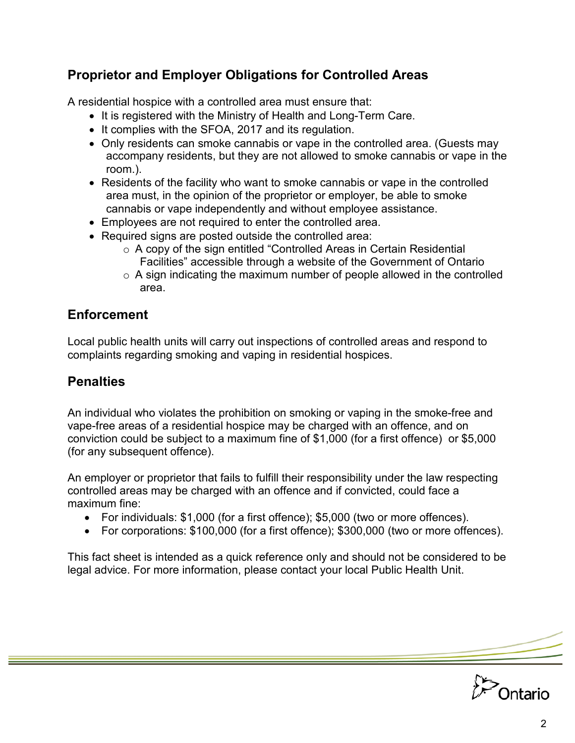## **Proprietor and Employer Obligations for Controlled Areas**

A residential hospice with a controlled area must ensure that:

- It is registered with the Ministry of Health and Long-Term Care.
- It complies with the SFOA, 2017 and its regulation.
- Only residents can smoke cannabis or vape in the controlled area. (Guests may accompany residents, but they are not allowed to smoke cannabis or vape in the room.).
- Residents of the facility who want to smoke cannabis or vape in the controlled area must, in the opinion of the proprietor or employer, be able to smoke cannabis or vape independently and without employee assistance.
- Employees are not required to enter the controlled area.
- Required signs are posted outside the controlled area:
	- o A copy of the sign entitled "Controlled Areas in Certain Residential Facilities" accessible through a website of the Government of Ontario
	- $\circ$  A sign indicating the maximum number of people allowed in the controlled area.

#### **Enforcement**

Local public health units will carry out inspections of controlled areas and respond to complaints regarding smoking and vaping in residential hospices.

### **Penalties**

An individual who violates the prohibition on smoking or vaping in the smoke-free and vape-free areas of a residential hospice may be charged with an offence, and on conviction could be subject to a maximum fine of \$1,000 (for a first offence) or \$5,000 (for any subsequent offence).

An employer or proprietor that fails to fulfill their responsibility under the law respecting controlled areas may be charged with an offence and if convicted, could face a maximum fine:

- For individuals: \$1,000 (for a first offence); \$5,000 (two or more offences).
- For corporations: \$100,000 (for a first offence); \$300,000 (two or more offences).

This fact sheet is intended as a quick reference only and should not be considered to be legal advice. For more information, please contact your local Public Health Unit.